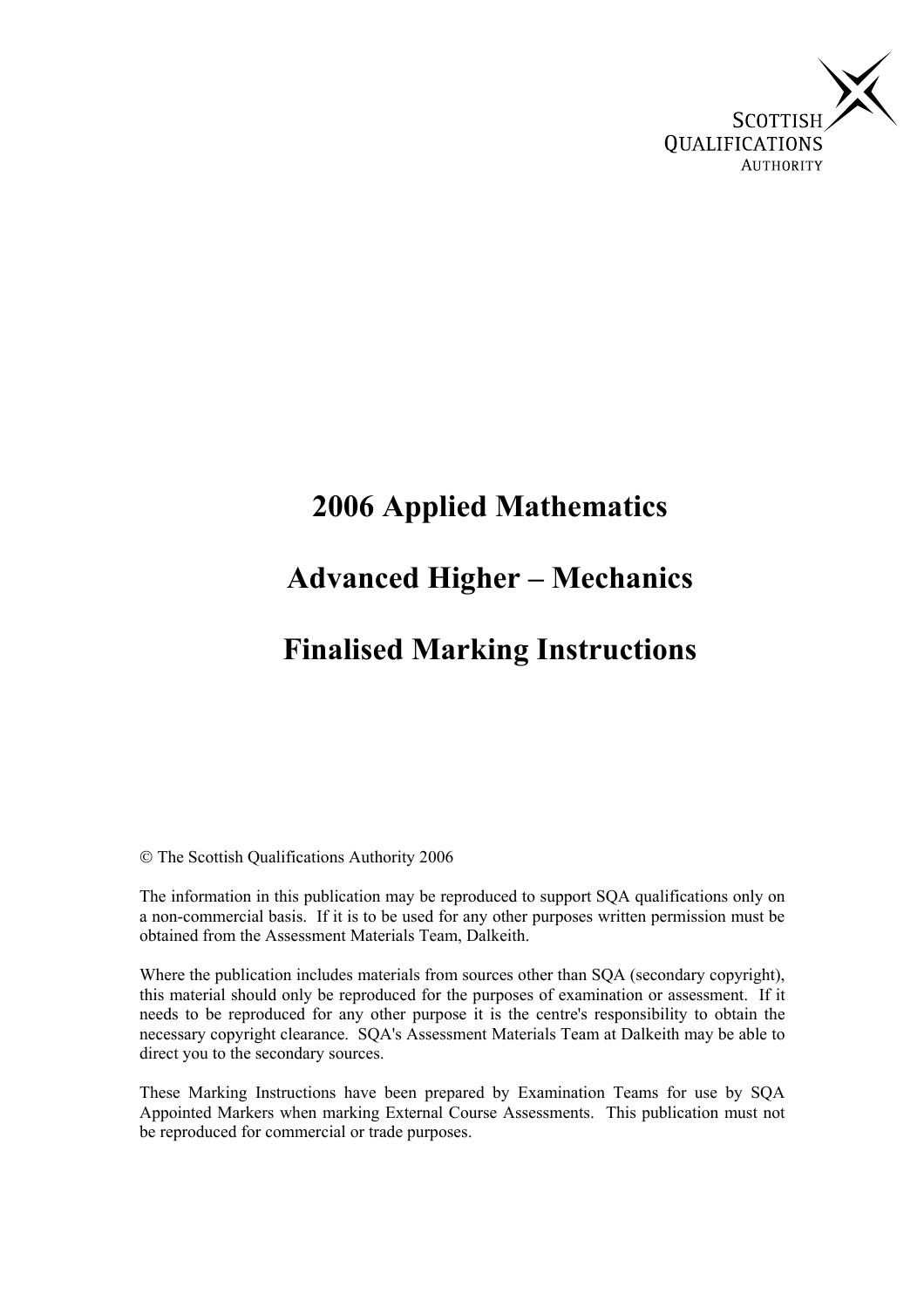

# **2006 Applied Mathematics**

# **Advanced Higher – Mechanics**

## **Finalised Marking Instructions**

The Scottish Qualifications Authority 2006

The information in this publication may be reproduced to support SQA qualifications only on a non-commercial basis. If it is to be used for any other purposes written permission must be obtained from the Assessment Materials Team, Dalkeith.

Where the publication includes materials from sources other than SQA (secondary copyright), this material should only be reproduced for the purposes of examination or assessment. If it needs to be reproduced for any other purpose it is the centre's responsibility to obtain the necessary copyright clearance. SQA's Assessment Materials Team at Dalkeith may be able to direct you to the secondary sources.

These Marking Instructions have been prepared by Examination Teams for use by SQA Appointed Markers when marking External Course Assessments. This publication must not be reproduced for commercial or trade purposes.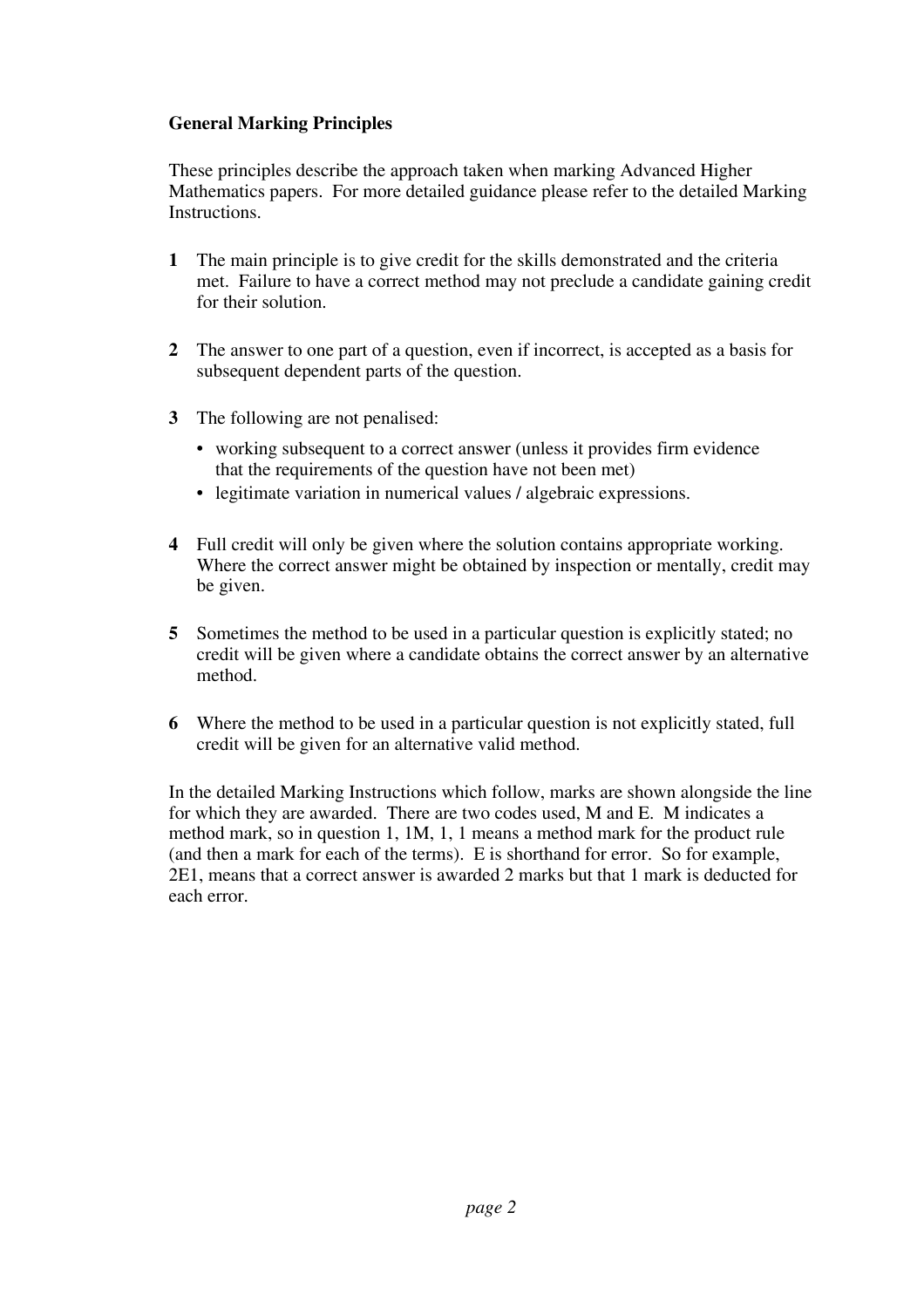#### **General Marking Principles**

These principles describe the approach taken when marking Advanced Higher Mathematics papers. For more detailed guidance please refer to the detailed Marking Instructions.

- **1** The main principle is to give credit for the skills demonstrated and the criteria met. Failure to have a correct method may not preclude a candidate gaining credit for their solution.
- **2** The answer to one part of a question, even if incorrect, is accepted as a basis for subsequent dependent parts of the question.
- **3** The following are not penalised:
	- working subsequent to a correct answer (unless it provides firm evidence that the requirements of the question have not been met)
	- legitimate variation in numerical values / algebraic expressions.
- **4** Full credit will only be given where the solution contains appropriate working. Where the correct answer might be obtained by inspection or mentally, credit may be given.
- **5** Sometimes the method to be used in a particular question is explicitly stated; no credit will be given where a candidate obtains the correct answer by an alternative method.
- **6** Where the method to be used in a particular question is not explicitly stated, full credit will be given for an alternative valid method.

In the detailed Marking Instructions which follow, marks are shown alongside the line for which they are awarded. There are two codes used, M and E. M indicates a method mark, so in question 1, 1M, 1, 1 means a method mark for the product rule (and then a mark for each of the terms). E is shorthand for error. So for example, 2E1, means that a correct answer is awarded 2 marks but that 1 mark is deducted for each error.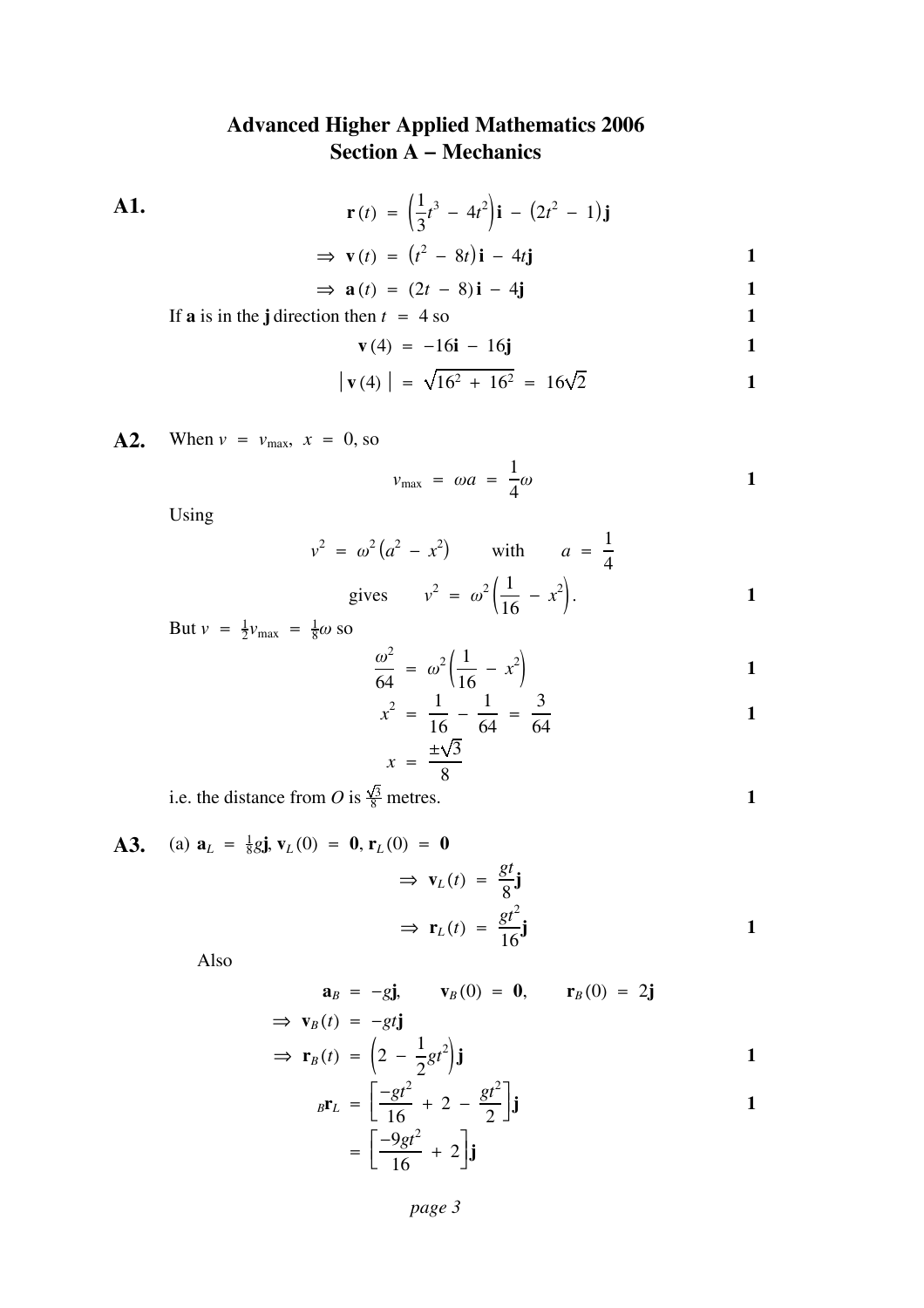#### **Advanced Higher Applied Mathematics 2006 Section A − Mechanics**

**A1.**  $r(t) = \left(\frac{1}{3}\right)$  $t^3 - 4t^2$ **i** –  $(2t^2 - 1)$ **j**  $\Rightarrow$  **v** (*t*) =  $(t^2 - 8t)\mathbf{i} - 4t\mathbf{j}$  1  $\Rightarrow$  **a**(*t*) = (2*t* − 8)**i** − 4**j** 1

If **a** is in the j direction then  $t = 4$  so **1** 

$$
\mathbf{v}(4) = -16\mathbf{i} - 16\mathbf{j}
$$

$$
|\mathbf{v}(4)| = \sqrt{16^2 + 16^2} = 16\sqrt{2}
$$

**A2.** When  $v = v_{\text{max}}$ ,  $x = 0$ , so

$$
v_{\text{max}} = \omega a = \frac{1}{4}\omega
$$

Using

$$
v^2 = \omega^2 (a^2 - x^2)
$$
 with  $a = \frac{1}{4}$   
gives  $v^2 = \omega^2 (\frac{1}{16} - x^2)$ .

But  $v = \frac{1}{2}v_{\text{max}} = \frac{1}{8}\omega$  so

$$
\frac{\omega^2}{64} = \omega^2 \left( \frac{1}{16} - x^2 \right)
$$

$$
x^{2} = \frac{1}{16} - \frac{1}{64} = \frac{3}{64}
$$

$$
x = \frac{\pm\sqrt{3}}{8}
$$

i.e. the distance from O is  $\frac{\sqrt{3}}{8}$  metres. **1** 

A3. (a) 
$$
\mathbf{a}_L = \frac{1}{8}g\mathbf{j}, \mathbf{v}_L(0) = \mathbf{0}, \mathbf{r}_L(0) = \mathbf{0}
$$
  
\n $\Rightarrow \mathbf{v}_L(t) = \frac{gt}{8}\mathbf{j}$   
\n $\Rightarrow \mathbf{r}_L(t) = \frac{gt^2}{16}\mathbf{j}$ 

Also

$$
\mathbf{a}_B = -g\mathbf{j}, \qquad \mathbf{v}_B(0) = \mathbf{0}, \qquad \mathbf{r}_B(0) = 2\mathbf{j}
$$
  
\n
$$
\Rightarrow \mathbf{v}_B(t) = -gt\mathbf{j}
$$

$$
\Rightarrow \mathbf{r}_B(t) = \left(2 - \frac{1}{2}gt^2\right)\mathbf{j}
$$

$$
{}_{B}\mathbf{r}_{L} = \left[\frac{-gt^{2}}{16} + 2 - \frac{gt^{2}}{2}\right]\mathbf{j}
$$

$$
= \left[\frac{-9gt^{2}}{16} + 2\right]\mathbf{j}
$$
1

*page 3*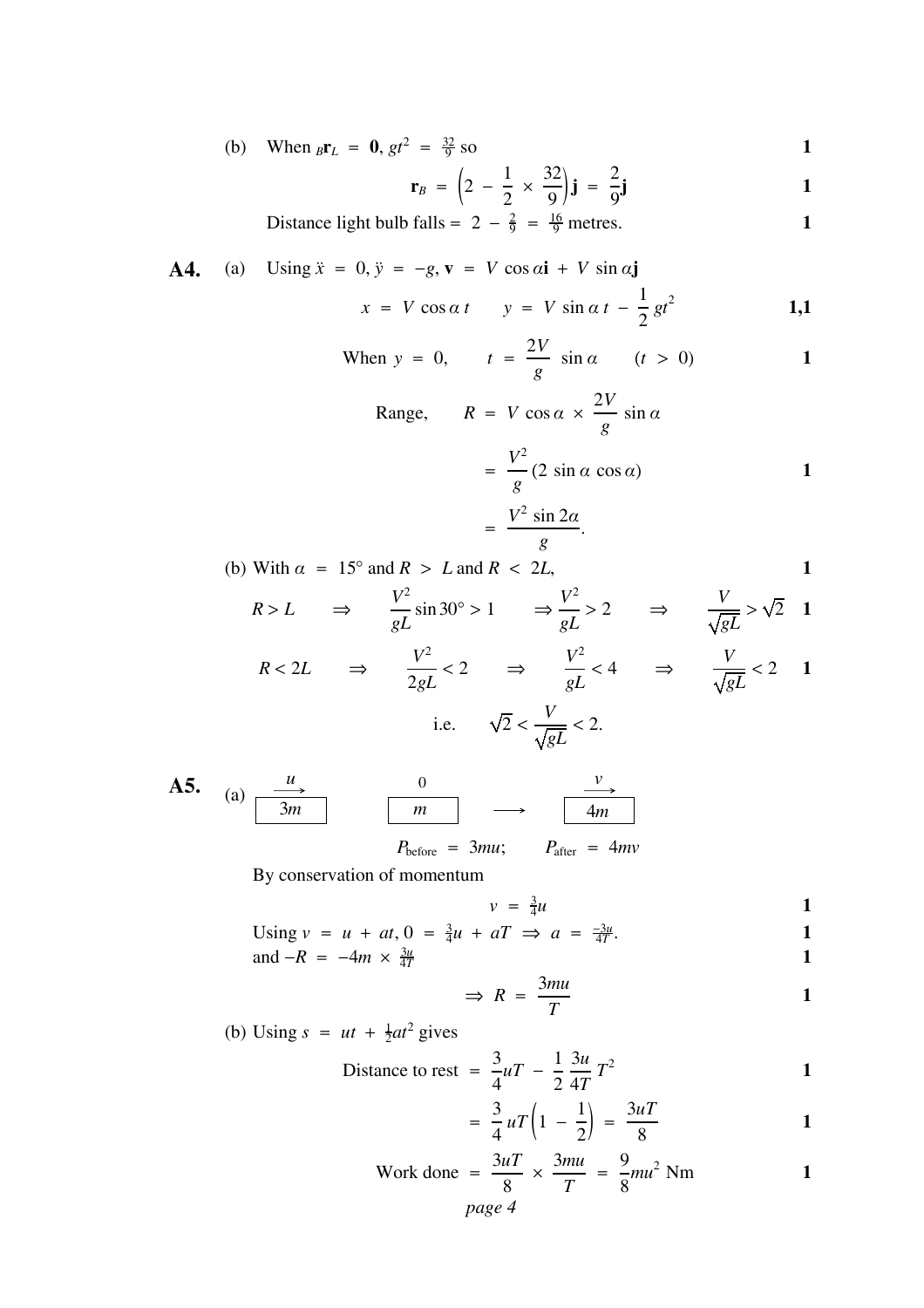(b) When 
$$
_{B}r_{L} = 0
$$
,  $gt^{2} = \frac{32}{9}$  so

$$
\mathbf{r}_B = \left(2 - \frac{1}{2} \times \frac{32}{9}\right) \mathbf{j} = \frac{2}{9} \mathbf{j}
$$

Distance light bulb falls = 
$$
2 - \frac{2}{9} = \frac{16}{9}
$$
 metres.

**A4.** (a) Using 
$$
\ddot{x} = 0
$$
,  $\ddot{y} = -g$ ,  $\mathbf{v} = V \cos \alpha \mathbf{i} + V \sin \alpha \mathbf{j}$   
 $x = V \cos \alpha t$   $y = V \sin \alpha t - \frac{1}{2}gt^2$  **1,1**

When 
$$
y = 0
$$
,  $t = \frac{2V}{g} \sin \alpha$   $(t > 0)$  1

Range, 
$$
R = V \cos \alpha \times \frac{2V}{g} \sin \alpha
$$
  
=  $\frac{V^2}{g} (2 \sin \alpha \cos \alpha)$  1

$$
= \frac{V^2 \sin 2\alpha}{g}.
$$

(b) With  $\alpha = 15^{\circ}$  and  $R > L$  and  $R < 2L$ ,

$$
R > L \qquad \Rightarrow \qquad \frac{V^2}{gL} \sin 30^\circ > 1 \qquad \Rightarrow \frac{V^2}{gL} > 2 \qquad \Rightarrow \qquad \frac{V}{\sqrt{gL}} > \sqrt{2} \quad 1
$$

$$
R < 2L \qquad \Rightarrow \qquad \frac{V^2}{2gL} < 2 \qquad \Rightarrow \qquad \frac{V^2}{gL} < 4 \qquad \Rightarrow \qquad \frac{V}{\sqrt{gL}} < 2 \qquad 1
$$
\ni.e. 
$$
\sqrt{2} < \frac{V}{\sqrt{gL}} < 2.
$$

**A5.** (a) 
$$
\frac{u}{3m}
$$
 0  $\frac{v}{4m}$   
\n $P_{before} = 3mu$ ;  $P_{after} = 4mv$ 

By conservation of momentum

$$
v = \frac{3}{4}u \qquad \qquad 1
$$

Using 
$$
v = u + at
$$
,  $0 = \frac{3}{4}u + aT \implies a = \frac{-3u}{4T}$ .

and 
$$
-R = -4m \times \frac{3u}{4T}
$$

$$
\Rightarrow R = \frac{3mu}{T}
$$

(b) Using  $s = ut + \frac{1}{2}at^2$  gives

Distance to rest = 
$$
\frac{3}{4}uT - \frac{1}{2}\frac{3u}{4T}T^2
$$

$$
=\frac{3}{4}uT\left(1-\frac{1}{2}\right)=\frac{3uT}{8}
$$

Work done 
$$
=
$$
  $\frac{3uT}{8} \times \frac{3mu}{T} = \frac{9}{8}mu^2$  Nm  
page 4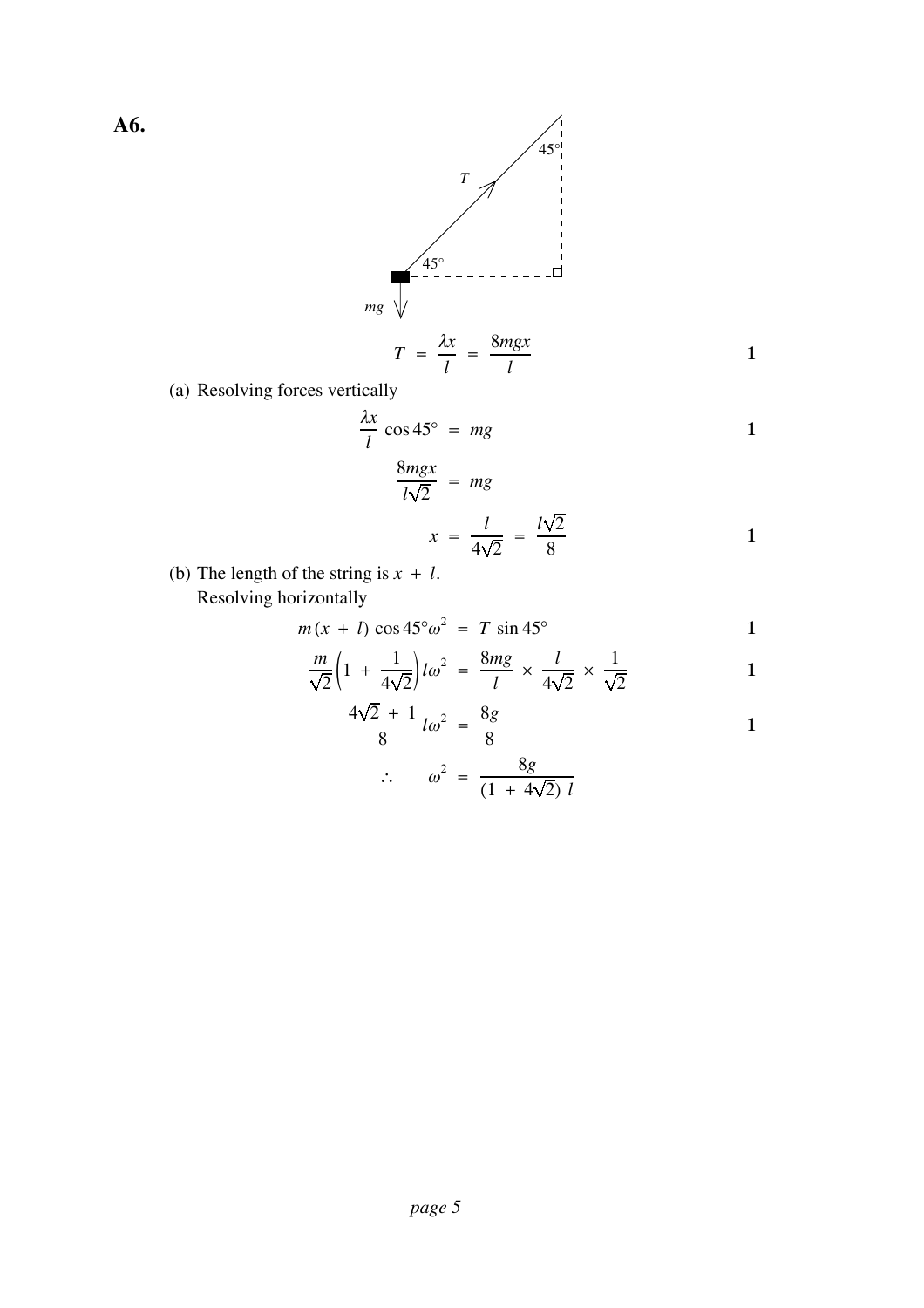**A6.**



(a) Resolving forces vertically

$$
\frac{\lambda x}{l} \cos 45^\circ = mg
$$

$$
\frac{\text{Im}g x}{l\sqrt{2}} = mg
$$
  

$$
x = \frac{l}{4\sqrt{2}} = \frac{l\sqrt{2}}{8}
$$

**1**

(b) The length of the string is  $x + l$ . Resolving horizontally

$$
m(x + l) \cos 45^{\circ} \omega^2 = T \sin 45^{\circ}
$$

$$
\frac{m}{\sqrt{2}}\left(1\ +\ \frac{1}{4\sqrt{2}}\right)l\omega^2\ =\ \frac{8mg}{l}\ \times\ \frac{l}{4\sqrt{2}}\ \times\ \frac{1}{\sqrt{2}}\ \hspace{1.5cm}1
$$

$$
\frac{4\sqrt{2} + 1}{8} \, l\omega^2 = \frac{8g}{8} \tag{1}
$$

$$
\therefore \qquad \omega^2 \; = \; \frac{8g}{(1 \; + \; 4\sqrt{2}) \; l}
$$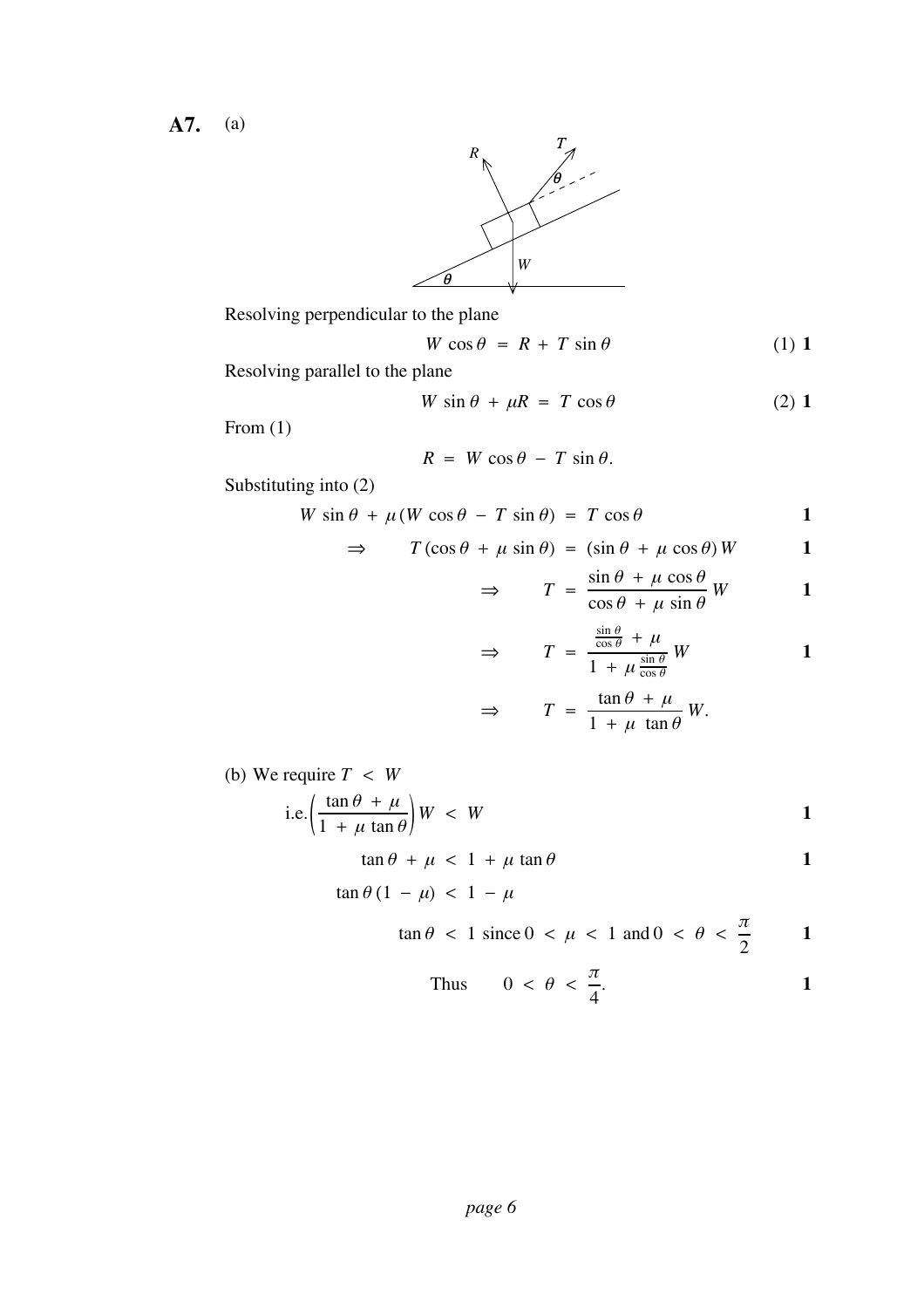**A7.** (a)



Resolving perpendicular to the plane

$$
W\cos\theta = R + T\sin\theta \tag{1}
$$

Resolving parallel to the plane

$$
W \sin \theta + \mu R = T \cos \theta \tag{2}
$$

From (1)

$$
R = W \cos \theta - T \sin \theta.
$$

Substituting into (2)

$$
W \sin \theta + \mu (W \cos \theta - T \sin \theta) = T \cos \theta
$$

$$
\Rightarrow \qquad T(\cos\theta + \mu\sin\theta) = (\sin\theta + \mu\cos\theta)W \qquad \qquad 1
$$

$$
\Rightarrow \qquad T = \frac{\sin \theta + \mu \cos \theta}{\cos \theta + \mu \sin \theta} W \qquad \qquad 1
$$

$$
\Rightarrow \qquad T = \frac{\frac{\sin \theta}{\cos \theta} + \mu}{1 + \mu \frac{\sin \theta}{\cos \theta}} W \qquad \qquad 1
$$

$$
\Rightarrow \qquad T = \frac{\tan \theta + \mu}{1 + \mu \tan \theta} W.
$$

(b) We require *T* < *W*

i.e. 
$$
\left(\frac{\tan \theta + \mu}{1 + \mu \tan \theta}\right)W < W
$$
 1

 $\tan \theta + \mu < 1 + \mu \tan \theta$  1

$$
\tan \theta \left(1 - \mu\right) \, < \, 1 - \mu
$$

$$
\tan \theta < 1 \text{ since } 0 < \mu < 1 \text{ and } 0 < \theta < \frac{\pi}{2} \qquad \qquad 1
$$

Thus 
$$
0 < \theta < \frac{\pi}{4}
$$
.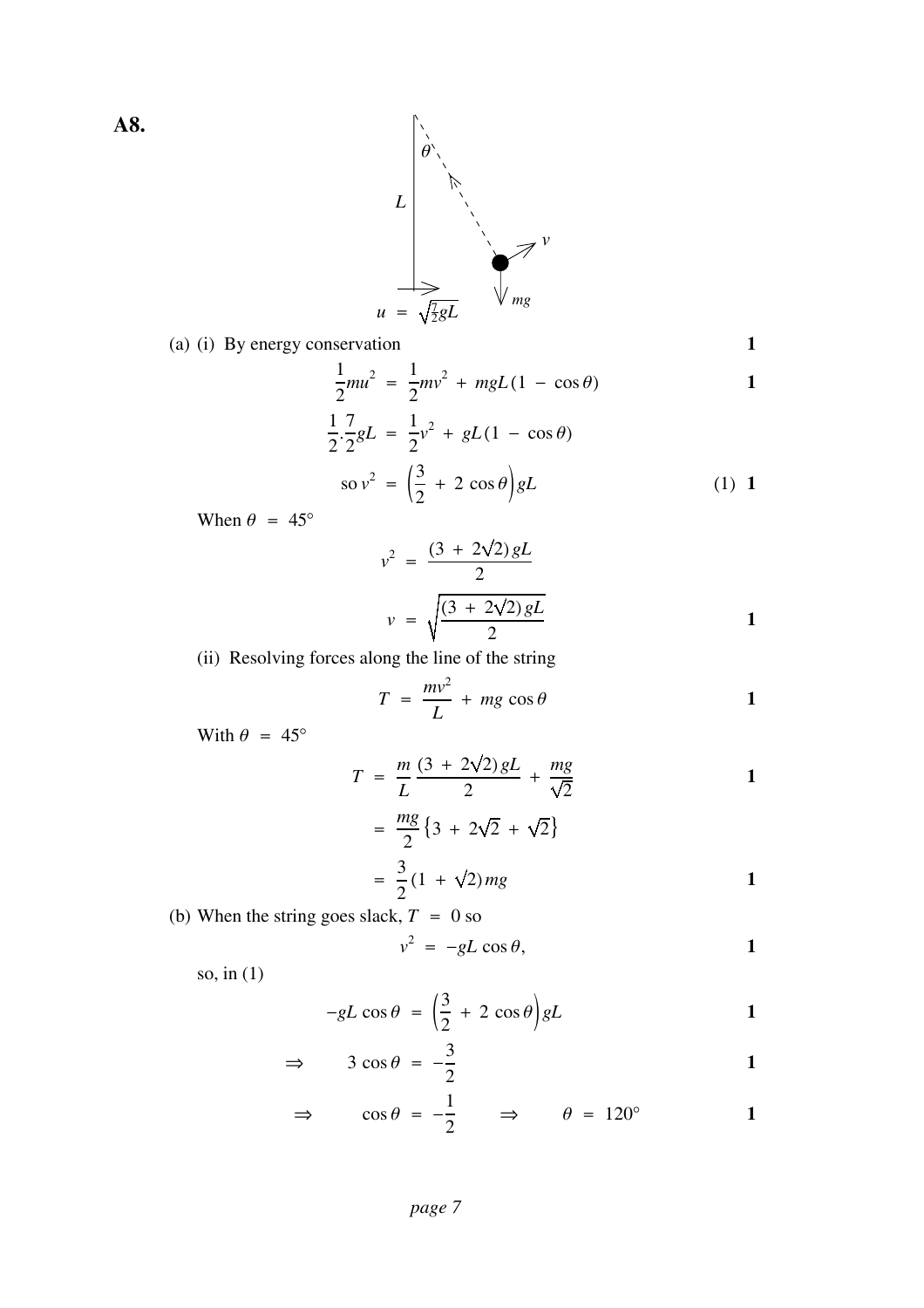

(a) (i) By energy conservation **1**

$$
\mathbf{1} \\
$$

$$
\frac{1}{2}mu^2 = \frac{1}{2}mv^2 + mgL(1 - \cos\theta)
$$

$$
\frac{1}{2} \cdot \frac{7}{2} gL = \frac{1}{2} v^2 + gL(1 - \cos \theta)
$$
  

$$
\text{so } v^2 = \left(\frac{3}{2} + 2 \cos \theta\right) gL
$$
 (1) 1

When  $\theta = 45^{\circ}$ 

$$
v^{2} = \frac{(3 + 2\sqrt{2})gL}{2}
$$
  

$$
v = \sqrt{\frac{(3 + 2\sqrt{2})gL}{2}}
$$

(ii) Resolving forces along the line of the string

$$
T = \frac{mv^2}{L} + mg\cos\theta
$$
 1

With  $\theta = 45^\circ$ 

$$
T = \frac{m}{L} \frac{(3 + 2\sqrt{2})gL}{2} + \frac{mg}{\sqrt{2}}
$$

$$
= \frac{mg}{2} \{3 + 2\sqrt{2} + \sqrt{2}\}\
$$

$$
= \frac{3}{2} (1 + \sqrt{2}) mg
$$

(b) When the string goes slack,  $T = 0$  so

$$
v^2 = -gL \cos \theta, \qquad 1
$$

so, in (1)

$$
-gL\cos\theta = \left(\frac{3}{2} + 2\cos\theta\right)gL
$$

$$
\Rightarrow \qquad 3 \cos \theta = -\frac{3}{2} \qquad \qquad 1
$$

$$
\Rightarrow \qquad \cos \theta = -\frac{1}{2} \qquad \Rightarrow \qquad \theta = 120^{\circ} \qquad \qquad 1
$$

**A8.**

*page 7*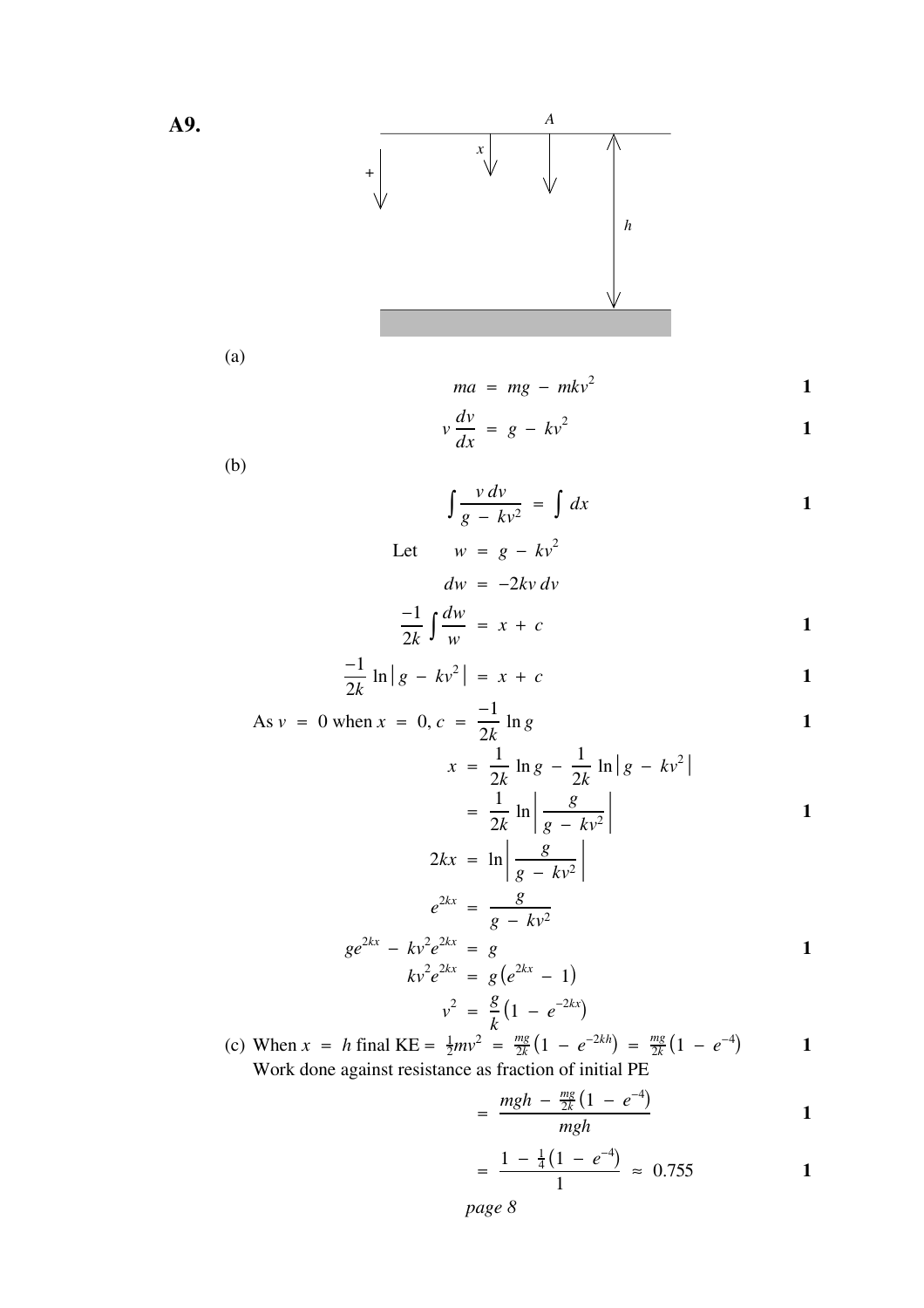

(a)

$$
ma = mg - mkv^2 \qquad \qquad 1
$$

$$
v\frac{dv}{dx} = g - kv^2
$$

(b)

$$
\int \frac{v dv}{g - kv^2} = \int dx
$$

Let 
$$
w = g - kv^2
$$
  
\n $dw = -2kv dv$   
\n $\frac{-1}{2k} \int \frac{dw}{w} = x + c$ 

$$
\frac{-1}{2k}\ln|g - kv^2| = x + c
$$

$$
As v = 0 when x = 0, c = \frac{-1}{2k} ln g
$$

$$
x = \frac{1}{2k} \ln g - \frac{1}{2k} \ln |g - kv^2|
$$
  
= 
$$
\frac{1}{2k} \ln \left| \frac{g}{g - kv^2} \right|
$$
  

$$
2kx = \ln \left| \frac{g}{g - kv^2} \right|
$$

$$
e^{2kx} = \frac{g}{g - kv^2}
$$
  
\n
$$
ge^{2kx} - kv^2e^{2kx} = g
$$
  
\n
$$
kv^2e^{2kx} = g(e^{2kx} - 1)
$$
  
\n
$$
v^2 = \frac{g}{k}(1 - e^{-2kx})
$$

(c) When  $x = h$  final KE =  $\frac{1}{2}mv^2 = \frac{mg}{2k}(1 - e^{-2kh}) = \frac{mg}{2k}(1 - e^{-4})$  1 Work done against resistance as fraction of initial PE

$$
=\frac{mgh-\frac{mg}{2k}(1-e^{-4})}{mgh}\qquad \qquad 1
$$

$$
=\frac{1-\frac{1}{4}(1-e^{-4})}{1} \approx 0.755
$$

*page 8*

**A9.**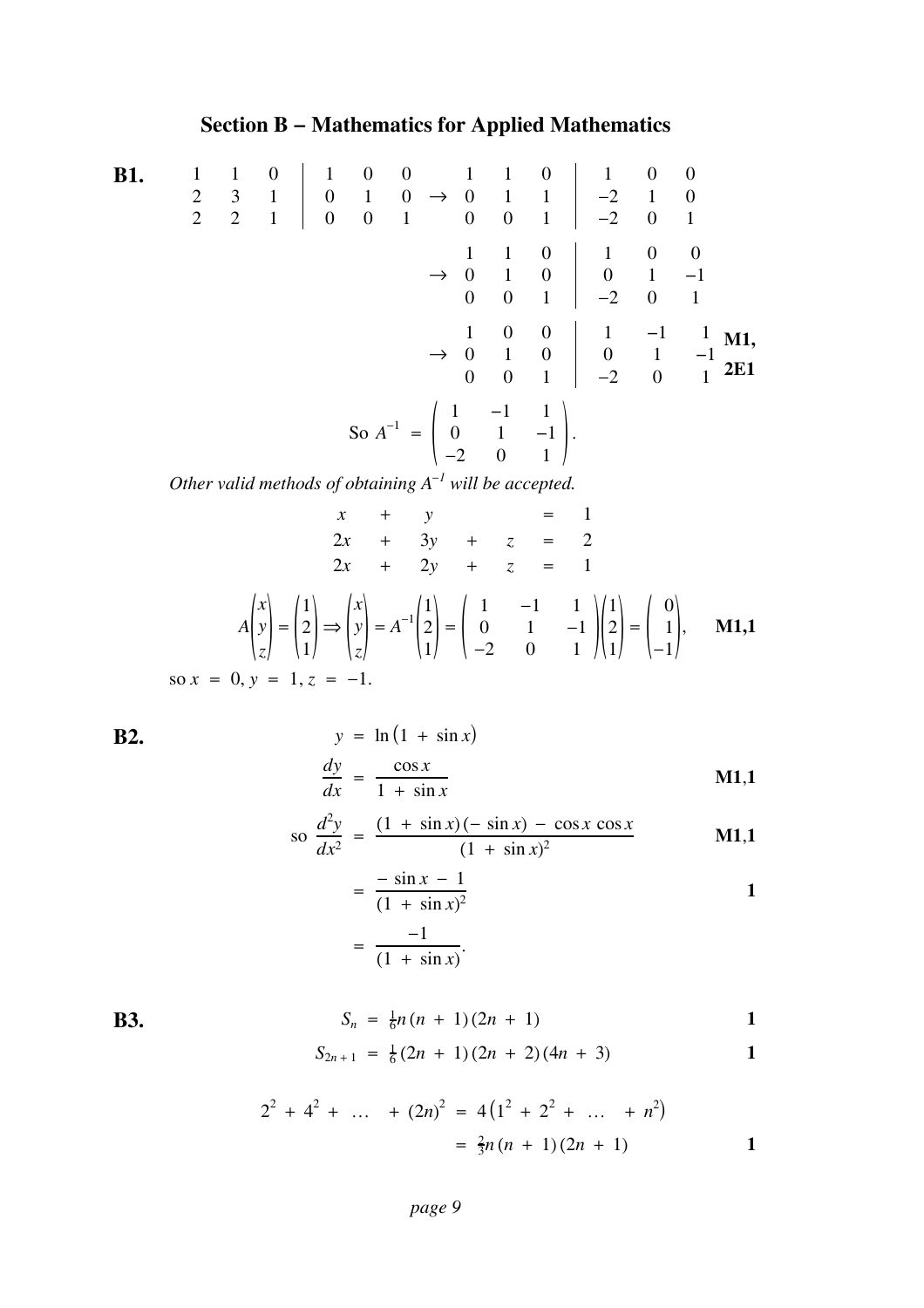### **Section B − Mathematics for Applied Mathematics**

**B1.** → 110 100 231 010 221 001 110 1 00 011 −210 001 −201 → 110 1 0 0 010 0 1 −1 001 −20 1 → 100 1 −1 1 010 0 1 −1 001 −20 1 **M1, 2E1** So *<sup>A</sup>*<sup>−</sup><sup>1</sup> <sup>=</sup> ( ). 1 −1 1 0 1 −1 −20 1

*Other valid methods of obtaining*  $A^{-1}$  *will be accepted.* 

$$
x + y = 1
$$
  
\n
$$
2x + 3y + z = 2
$$
  
\n
$$
2x + 2y + z = 1
$$
  
\n
$$
A\begin{pmatrix} x \\ y \\ z \end{pmatrix} = \begin{pmatrix} 1 \\ 2 \\ 1 \end{pmatrix} \Rightarrow \begin{pmatrix} x \\ y \\ z \end{pmatrix} = A^{-1} \begin{pmatrix} 1 \\ 2 \\ 1 \end{pmatrix} = \begin{pmatrix} 1 & -1 & 1 \\ 0 & 1 & -1 \\ -2 & 0 & 1 \end{pmatrix} \begin{pmatrix} 1 \\ 2 \\ 1 \end{pmatrix} = \begin{pmatrix} 0 \\ 1 \\ -1 \end{pmatrix}, \quad \text{M1,1}
$$
  
\nso  $x = 0, y = 1, z = -1$ .

**B2.**  $y = \ln(1 + \sin x)$  $\frac{dy}{dx} = \frac{\cos x}{1 + \sin x}$ **M1**,**1**

$$
\text{so } \frac{d^2y}{dx^2} = \frac{(1 + \sin x)(-\sin x) - \cos x \cos x}{(1 + \sin x)^2} \quad \text{M1,1}
$$

$$
= \frac{-\sin x - 1}{(1 + \sin x)^2}
$$

$$
= \frac{-1}{(1 + \sin x)}.
$$

**B3.**  $S_n = \frac{1}{6}n(n+1)(2n+1)$  **1** 

$$
S_{2n+1} = \frac{1}{6}(2n+1)(2n+2)(4n+3)
$$

$$
2^{2} + 4^{2} + \dots + (2n)^{2} = 4(1^{2} + 2^{2} + \dots + n^{2})
$$
  
=  $\frac{2}{3}n(n + 1)(2n + 1)$